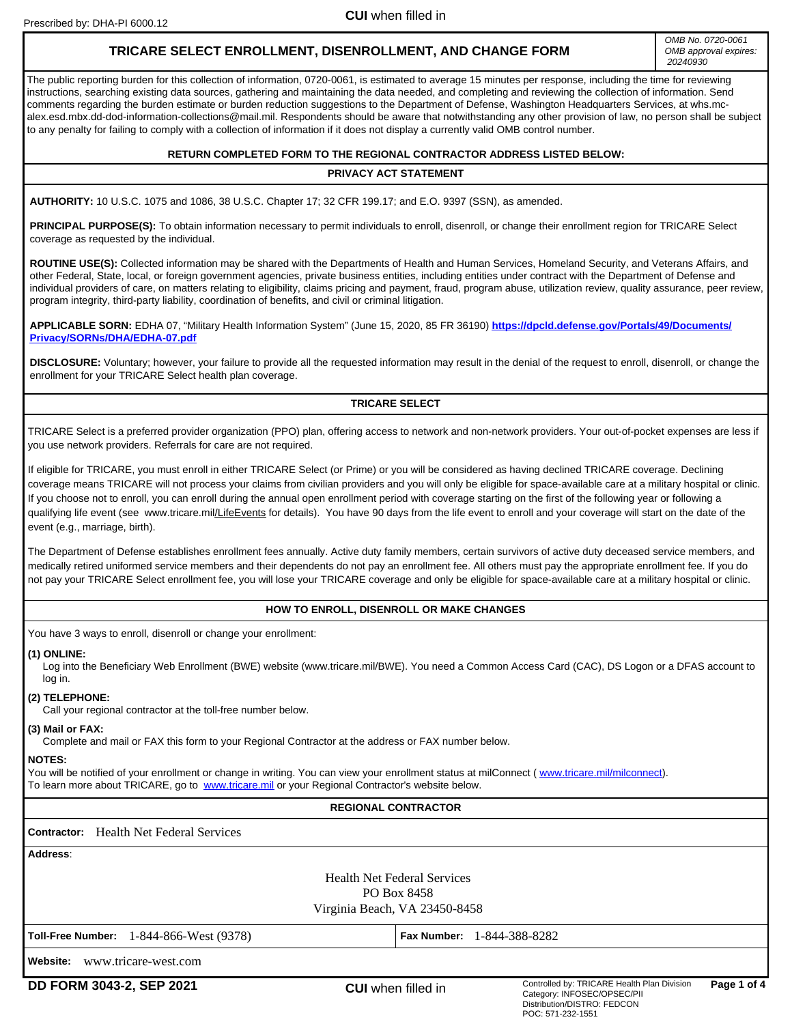Prescribed by: DHA-PI 6000.12

**CUI** when filled in

# **TRICARE SELECT ENROLLMENT, DISENROLLMENT, AND CHANGE FORM**

*OMB No. 0720-0061 OMB approval expires: 20240930*

The public reporting burden for this collection of information, 0720-0061, is estimated to average 15 minutes per response, including the time for reviewing instructions, searching existing data sources, gathering and maintaining the data needed, and completing and reviewing the collection of information. Send comments regarding the burden estimate or burden reduction suggestions to the Department of Defense, Washington Headquarters Services, at whs.mcalex.esd.mbx.dd-dod-information-collections@mail.mil. Respondents should be aware that notwithstanding any other provision of law, no person shall be subject to any penalty for failing to comply with a collection of information if it does not display a currently valid OMB control number.

## **RETURN COMPLETED FORM TO THE REGIONAL CONTRACTOR ADDRESS LISTED BELOW:**

## **PRIVACY ACT STATEMENT**

**AUTHORITY:** 10 U.S.C. 1075 and 1086, 38 U.S.C. Chapter 17; 32 CFR 199.17; and E.O. 9397 (SSN), as amended.

PRINCIPAL PURPOSE(S): To obtain information necessary to permit individuals to enroll, disenroll, or change their enrollment region for TRICARE Select coverage as requested by the individual.

**ROUTINE USE(S):** Collected information may be shared with the Departments of Health and Human Services, Homeland Security, and Veterans Affairs, and other Federal, State, local, or foreign government agencies, private business entities, including entities under contract with the Department of Defense and individual providers of care, on matters relating to eligibility, claims pricing and payment, fraud, program abuse, utilization review, quality assurance, peer review, program integrity, third-party liability, coordination of benefits, and civil or criminal litigation.

**APPLICABLE SORN:** EDHA 07, "Military Health Information System" (June 15, 2020, 85 FR 36190) **[https://dpcld.defense.gov/Portals/49/Documents/](https://dpcld.defense.gov/Portals/49/Documents/Privacy/SORNs/DHA/EDHA-07.pdf) [Privacy/SORNs/DHA/EDHA-07.pdf](https://dpcld.defense.gov/Portals/49/Documents/Privacy/SORNs/DHA/EDHA-07.pdf)**

**DISCLOSURE:** Voluntary; however, your failure to provide all the requested information may result in the denial of the request to enroll, disenroll, or change the enrollment for your TRICARE Select health plan coverage.

# **TRICARE SELECT**

TRICARE Select is a preferred provider organization (PPO) plan, offering access to network and non-network providers. Your out-of-pocket expenses are less if you use network providers. Referrals for care are not required.

If eligible for TRICARE, you must enroll in either TRICARE Select (or Prime) or you will be considered as having declined TRICARE coverage. Declining coverage means TRICARE will not process your claims from civilian providers and you will only be eligible for space-available care at a military hospital or clinic. If you choose not to enroll, you can enroll during the annual open enrollment period with coverage starting on the first of the following year or following a qualifying life event (see www.tricare.mil/LifeEvents for details). You have 90 days from the life event to enroll and your coverage will start on the date of the event (e.g., marriage, birth).

The Department of Defense establishes enrollment fees annually. Active duty family members, certain survivors of active duty deceased service members, and medically retired uniformed service members and their dependents do not pay an enrollment fee. All others must pay the appropriate enrollment fee. If you do not pay your TRICARE Select enrollment fee, you will lose your TRICARE coverage and only be eligible for space-available care at a military hospital or clinic.

# **HOW TO ENROLL, DISENROLL OR MAKE CHANGES**

You have 3 ways to enroll, disenroll or change your enrollment:

#### **(1) ONLINE:**

Log into the Beneficiary Web Enrollment (BWE) website (www.tricare.mil/BWE). You need a Common Access Card (CAC), DS Logon or a DFAS account to log in.

## **(2) TELEPHONE:**

Call your regional contractor at the toll-free number below.

## **(3) Mail or FAX:**

Complete and mail or FAX this form to your Regional Contractor at the address or FAX number below.

## **NOTES:**

You will be notified of your enrollment or change in writing. You can view your enrollment status at milConnect (www.tricare.mil/milconnect). To learn more about TRICARE, go to [www.tricare.mil](http://www.tricare.mil) or your Regional Contractor's website below.

## **REGIONAL CONTRACTOR**

# **Contractor:**  Health Net Federal Services

| Address:                                          |                                   |  |  |  |  |
|---------------------------------------------------|-----------------------------------|--|--|--|--|
| <b>Health Net Federal Services</b><br>PO Box 8458 |                                   |  |  |  |  |
| Virginia Beach, VA 23450-8458                     |                                   |  |  |  |  |
| Toll-Free Number: 1-844-866-West (9378)           | <b>Fax Number: 1-844-388-8282</b> |  |  |  |  |
| Website: www.tricare-west.com                     |                                   |  |  |  |  |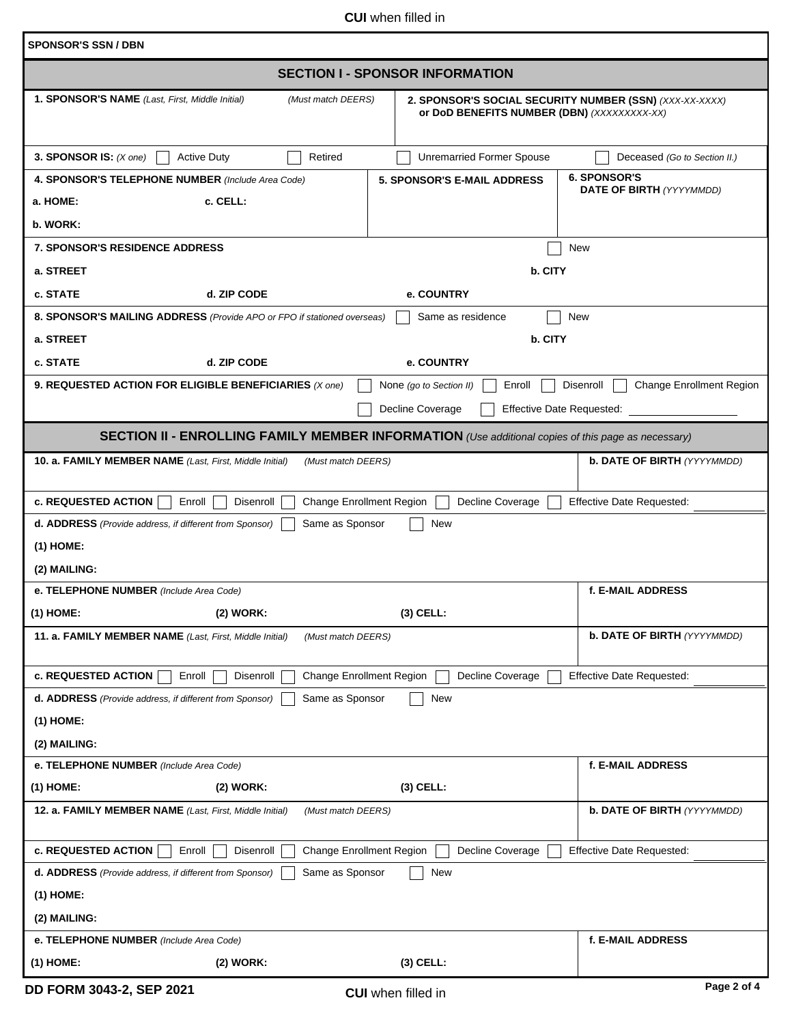**CUI** when filled in

| <b>SPONSOR'S SSN / DBN</b>                                                                                                                   |                                                                                                        |                                                        |  |  |  |  |  |
|----------------------------------------------------------------------------------------------------------------------------------------------|--------------------------------------------------------------------------------------------------------|--------------------------------------------------------|--|--|--|--|--|
| <b>SECTION I - SPONSOR INFORMATION</b>                                                                                                       |                                                                                                        |                                                        |  |  |  |  |  |
| 1. SPONSOR'S NAME (Last, First, Middle Initial)<br>(Must match DEERS)                                                                        | 2. SPONSOR'S SOCIAL SECURITY NUMBER (SSN) (XXX-XX-XXXX)<br>or DoD BENEFITS NUMBER (DBN) (XXXXXXXXX-XX) |                                                        |  |  |  |  |  |
| 3. SPONSOR IS: $(X \text{ one})$<br><b>Active Duty</b><br>Retired                                                                            | <b>Unremarried Former Spouse</b>                                                                       | Deceased (Go to Section II.)                           |  |  |  |  |  |
| 4. SPONSOR'S TELEPHONE NUMBER (Include Area Code)                                                                                            | <b>5. SPONSOR'S E-MAIL ADDRESS</b>                                                                     | <b>6. SPONSOR'S</b><br><b>DATE OF BIRTH (YYYYMMDD)</b> |  |  |  |  |  |
| c. CELL:<br>a. HOME:                                                                                                                         |                                                                                                        |                                                        |  |  |  |  |  |
| b. WORK:                                                                                                                                     |                                                                                                        |                                                        |  |  |  |  |  |
| <b>7. SPONSOR'S RESIDENCE ADDRESS</b>                                                                                                        |                                                                                                        | New                                                    |  |  |  |  |  |
| a. STREET                                                                                                                                    | b. CITY                                                                                                |                                                        |  |  |  |  |  |
| c. STATE<br>d. ZIP CODE<br>$ \bm{\bm{\triangledown}} $                                                                                       | e. COUNTRY                                                                                             |                                                        |  |  |  |  |  |
| 8. SPONSOR'S MAILING ADDRESS (Provide APO or FPO if stationed overseas)                                                                      | Same as residence                                                                                      | New                                                    |  |  |  |  |  |
| a. STREET                                                                                                                                    | b. CITY                                                                                                |                                                        |  |  |  |  |  |
| c. STATE<br>d. ZIP CODE<br>$\vert \mathbf{v} \vert$                                                                                          | e. COUNTRY                                                                                             |                                                        |  |  |  |  |  |
| 9. REQUESTED ACTION FOR ELIGIBLE BENEFICIARIES (X one)                                                                                       | None (go to Section II)<br>Enroll                                                                      | <b>Change Enrollment Region</b><br>Disenroll           |  |  |  |  |  |
|                                                                                                                                              | Decline Coverage<br><b>Effective Date Requested:</b>                                                   |                                                        |  |  |  |  |  |
| <b>SECTION II - ENROLLING FAMILY MEMBER INFORMATION</b> (Use additional copies of this page as necessary)                                    |                                                                                                        |                                                        |  |  |  |  |  |
| 10. a. FAMILY MEMBER NAME (Last, First, Middle Initial)<br>(Must match DEERS)                                                                |                                                                                                        | <b>b. DATE OF BIRTH (YYYYMMDD)</b>                     |  |  |  |  |  |
| <b>c. REQUESTED ACTION</b><br>Enroll<br><b>Change Enrollment Region</b><br>Disenroll                                                         | Decline Coverage                                                                                       | <b>Effective Date Requested:</b>                       |  |  |  |  |  |
| Same as Sponsor<br>New<br>d. ADDRESS (Provide address, if different from Sponsor)                                                            |                                                                                                        |                                                        |  |  |  |  |  |
| $(1)$ HOME:                                                                                                                                  |                                                                                                        |                                                        |  |  |  |  |  |
| (2) MAILING:                                                                                                                                 |                                                                                                        |                                                        |  |  |  |  |  |
| f. E-MAIL ADDRESS<br>e. TELEPHONE NUMBER (Include Area Code)                                                                                 |                                                                                                        |                                                        |  |  |  |  |  |
| (1) HOME:<br>(2) WORK:                                                                                                                       | (3) CELL:                                                                                              |                                                        |  |  |  |  |  |
| 11. a. FAMILY MEMBER NAME (Last, First, Middle Initial)<br>(Must match DEERS)                                                                | <b>b. DATE OF BIRTH (YYYYMMDD)</b>                                                                     |                                                        |  |  |  |  |  |
|                                                                                                                                              | Decline Coverage                                                                                       |                                                        |  |  |  |  |  |
| <b>c. REQUESTED ACTION</b><br><b>Change Enrollment Region</b><br>Enroll<br>Disenroll                                                         |                                                                                                        | <b>Effective Date Requested:</b>                       |  |  |  |  |  |
| Same as Sponsor<br>New<br>d. ADDRESS (Provide address, if different from Sponsor)<br>$(1)$ HOME:                                             |                                                                                                        |                                                        |  |  |  |  |  |
| (2) MAILING:                                                                                                                                 |                                                                                                        |                                                        |  |  |  |  |  |
| e. TELEPHONE NUMBER (Include Area Code)                                                                                                      |                                                                                                        | f. E-MAIL ADDRESS                                      |  |  |  |  |  |
| $(1)$ HOME:<br>(2) WORK:                                                                                                                     | $(3)$ CELL:                                                                                            |                                                        |  |  |  |  |  |
| 12. a. FAMILY MEMBER NAME (Last, First, Middle Initial)<br>(Must match DEERS)                                                                | <b>b. DATE OF BIRTH (YYYYMMDD)</b>                                                                     |                                                        |  |  |  |  |  |
|                                                                                                                                              |                                                                                                        |                                                        |  |  |  |  |  |
| <b>c. REQUESTED ACTION</b><br><b>Effective Date Requested:</b><br>Enroll<br>Disenroll<br><b>Change Enrollment Region</b><br>Decline Coverage |                                                                                                        |                                                        |  |  |  |  |  |
| Same as Sponsor<br>New<br>d. ADDRESS (Provide address, if different from Sponsor)                                                            |                                                                                                        |                                                        |  |  |  |  |  |
| $(1)$ HOME:                                                                                                                                  |                                                                                                        |                                                        |  |  |  |  |  |
| (2) MAILING:                                                                                                                                 |                                                                                                        |                                                        |  |  |  |  |  |
| e. TELEPHONE NUMBER (Include Area Code)                                                                                                      |                                                                                                        | f. E-MAIL ADDRESS                                      |  |  |  |  |  |
| (1) HOME:<br>$(2)$ WORK:                                                                                                                     | $(3)$ CELL:                                                                                            |                                                        |  |  |  |  |  |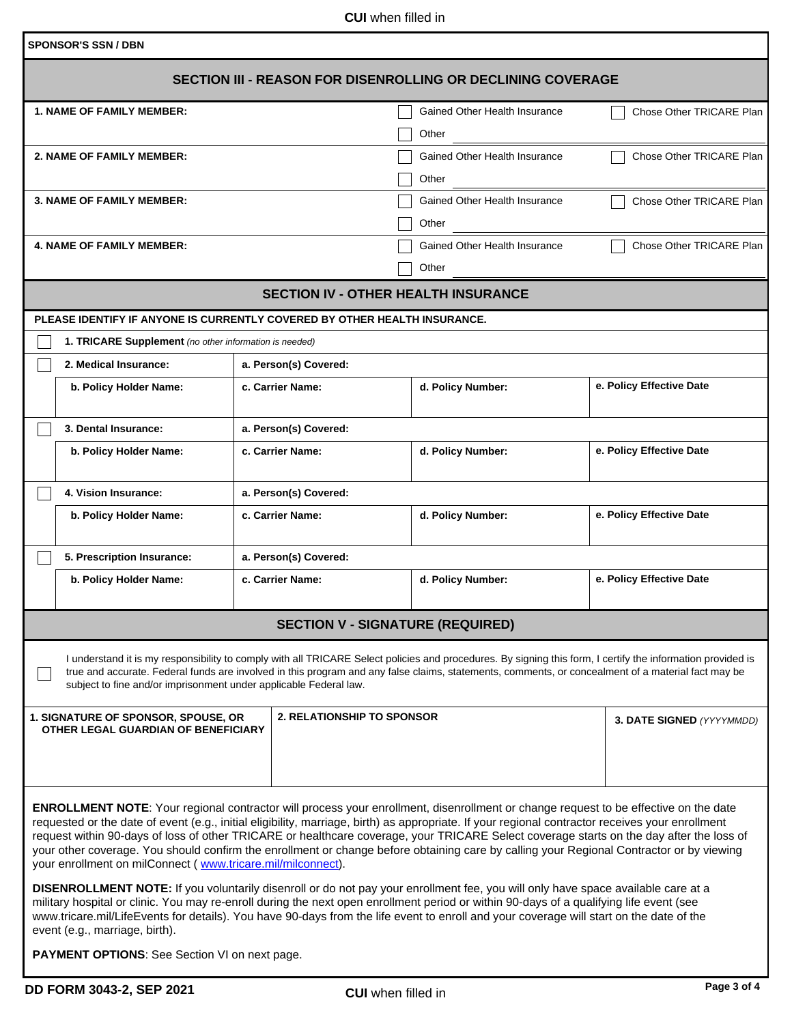**CUI** when filled in

| <b>SPONSOR'S SSN / DBN</b>                                                                                                                                                                                                                                                                                                                                                                                                                                                                                                                                                                                                                            |                                            |                                                           |                          |  |  |  |
|-------------------------------------------------------------------------------------------------------------------------------------------------------------------------------------------------------------------------------------------------------------------------------------------------------------------------------------------------------------------------------------------------------------------------------------------------------------------------------------------------------------------------------------------------------------------------------------------------------------------------------------------------------|--------------------------------------------|-----------------------------------------------------------|--------------------------|--|--|--|
| <b>SECTION III - REASON FOR DISENROLLING OR DECLINING COVERAGE</b>                                                                                                                                                                                                                                                                                                                                                                                                                                                                                                                                                                                    |                                            |                                                           |                          |  |  |  |
| <b>1. NAME OF FAMILY MEMBER:</b>                                                                                                                                                                                                                                                                                                                                                                                                                                                                                                                                                                                                                      |                                            | Gained Other Health Insurance                             | Chose Other TRICARE Plan |  |  |  |
|                                                                                                                                                                                                                                                                                                                                                                                                                                                                                                                                                                                                                                                       |                                            | Other                                                     |                          |  |  |  |
| 2. NAME OF FAMILY MEMBER:                                                                                                                                                                                                                                                                                                                                                                                                                                                                                                                                                                                                                             |                                            | Gained Other Health Insurance                             | Chose Other TRICARE Plan |  |  |  |
|                                                                                                                                                                                                                                                                                                                                                                                                                                                                                                                                                                                                                                                       |                                            | Other                                                     |                          |  |  |  |
| <b>3. NAME OF FAMILY MEMBER:</b>                                                                                                                                                                                                                                                                                                                                                                                                                                                                                                                                                                                                                      |                                            | Gained Other Health Insurance<br>Chose Other TRICARE Plan |                          |  |  |  |
|                                                                                                                                                                                                                                                                                                                                                                                                                                                                                                                                                                                                                                                       |                                            | Other                                                     |                          |  |  |  |
| <b>4. NAME OF FAMILY MEMBER:</b>                                                                                                                                                                                                                                                                                                                                                                                                                                                                                                                                                                                                                      |                                            | Gained Other Health Insurance                             | Chose Other TRICARE Plan |  |  |  |
|                                                                                                                                                                                                                                                                                                                                                                                                                                                                                                                                                                                                                                                       |                                            | Other                                                     |                          |  |  |  |
|                                                                                                                                                                                                                                                                                                                                                                                                                                                                                                                                                                                                                                                       | <b>SECTION IV - OTHER HEALTH INSURANCE</b> |                                                           |                          |  |  |  |
| PLEASE IDENTIFY IF ANYONE IS CURRENTLY COVERED BY OTHER HEALTH INSURANCE.                                                                                                                                                                                                                                                                                                                                                                                                                                                                                                                                                                             |                                            |                                                           |                          |  |  |  |
| 1. TRICARE Supplement (no other information is needed)                                                                                                                                                                                                                                                                                                                                                                                                                                                                                                                                                                                                |                                            |                                                           |                          |  |  |  |
| 2. Medical Insurance:                                                                                                                                                                                                                                                                                                                                                                                                                                                                                                                                                                                                                                 | a. Person(s) Covered:                      |                                                           |                          |  |  |  |
|                                                                                                                                                                                                                                                                                                                                                                                                                                                                                                                                                                                                                                                       |                                            |                                                           | e. Policy Effective Date |  |  |  |
| b. Policy Holder Name:                                                                                                                                                                                                                                                                                                                                                                                                                                                                                                                                                                                                                                | c. Carrier Name:                           | d. Policy Number:                                         |                          |  |  |  |
|                                                                                                                                                                                                                                                                                                                                                                                                                                                                                                                                                                                                                                                       |                                            |                                                           |                          |  |  |  |
| 3. Dental Insurance:                                                                                                                                                                                                                                                                                                                                                                                                                                                                                                                                                                                                                                  | a. Person(s) Covered:                      |                                                           |                          |  |  |  |
| b. Policy Holder Name:                                                                                                                                                                                                                                                                                                                                                                                                                                                                                                                                                                                                                                | c. Carrier Name:                           | d. Policy Number:                                         | e. Policy Effective Date |  |  |  |
| 4. Vision Insurance:                                                                                                                                                                                                                                                                                                                                                                                                                                                                                                                                                                                                                                  | a. Person(s) Covered:                      |                                                           |                          |  |  |  |
| b. Policy Holder Name:                                                                                                                                                                                                                                                                                                                                                                                                                                                                                                                                                                                                                                | c. Carrier Name:                           | e. Policy Effective Date<br>d. Policy Number:             |                          |  |  |  |
|                                                                                                                                                                                                                                                                                                                                                                                                                                                                                                                                                                                                                                                       |                                            |                                                           |                          |  |  |  |
| 5. Prescription Insurance:                                                                                                                                                                                                                                                                                                                                                                                                                                                                                                                                                                                                                            | a. Person(s) Covered:                      |                                                           |                          |  |  |  |
| b. Policy Holder Name:                                                                                                                                                                                                                                                                                                                                                                                                                                                                                                                                                                                                                                | c. Carrier Name:                           | d. Policy Number:                                         | e. Policy Effective Date |  |  |  |
|                                                                                                                                                                                                                                                                                                                                                                                                                                                                                                                                                                                                                                                       |                                            |                                                           |                          |  |  |  |
| <b>SECTION V - SIGNATURE (REQUIRED)</b>                                                                                                                                                                                                                                                                                                                                                                                                                                                                                                                                                                                                               |                                            |                                                           |                          |  |  |  |
| I understand it is my responsibility to comply with all TRICARE Select policies and procedures. By signing this form, I certify the information provided is<br>true and accurate. Federal funds are involved in this program and any false claims, statements, comments, or concealment of a material fact may be<br>subject to fine and/or imprisonment under applicable Federal law.                                                                                                                                                                                                                                                                |                                            |                                                           |                          |  |  |  |
| 2. RELATIONSHIP TO SPONSOR<br>1. SIGNATURE OF SPONSOR, SPOUSE, OR<br>3. DATE SIGNED (YYYYMMDD)<br>OTHER LEGAL GUARDIAN OF BENEFICIARY                                                                                                                                                                                                                                                                                                                                                                                                                                                                                                                 |                                            |                                                           |                          |  |  |  |
|                                                                                                                                                                                                                                                                                                                                                                                                                                                                                                                                                                                                                                                       |                                            |                                                           |                          |  |  |  |
|                                                                                                                                                                                                                                                                                                                                                                                                                                                                                                                                                                                                                                                       |                                            |                                                           |                          |  |  |  |
| <b>ENROLLMENT NOTE:</b> Your regional contractor will process your enrollment, disenrollment or change request to be effective on the date<br>requested or the date of event (e.g., initial eligibility, marriage, birth) as appropriate. If your regional contractor receives your enrollment<br>request within 90-days of loss of other TRICARE or healthcare coverage, your TRICARE Select coverage starts on the day after the loss of<br>your other coverage. You should confirm the enrollment or change before obtaining care by calling your Regional Contractor or by viewing<br>your enrollment on milConnect (www.tricare.mil/milconnect). |                                            |                                                           |                          |  |  |  |
| DISENROLLMENT NOTE: If you voluntarily disenroll or do not pay your enrollment fee, you will only have space available care at a<br>military hospital or clinic. You may re-enroll during the next open enrollment period or within 90-days of a qualifying life event (see<br>www.tricare.mil/LifeEvents for details). You have 90-days from the life event to enroll and your coverage will start on the date of the<br>event (e.g., marriage, birth).                                                                                                                                                                                              |                                            |                                                           |                          |  |  |  |

**PAYMENT OPTIONS**: See Section VI on next page.